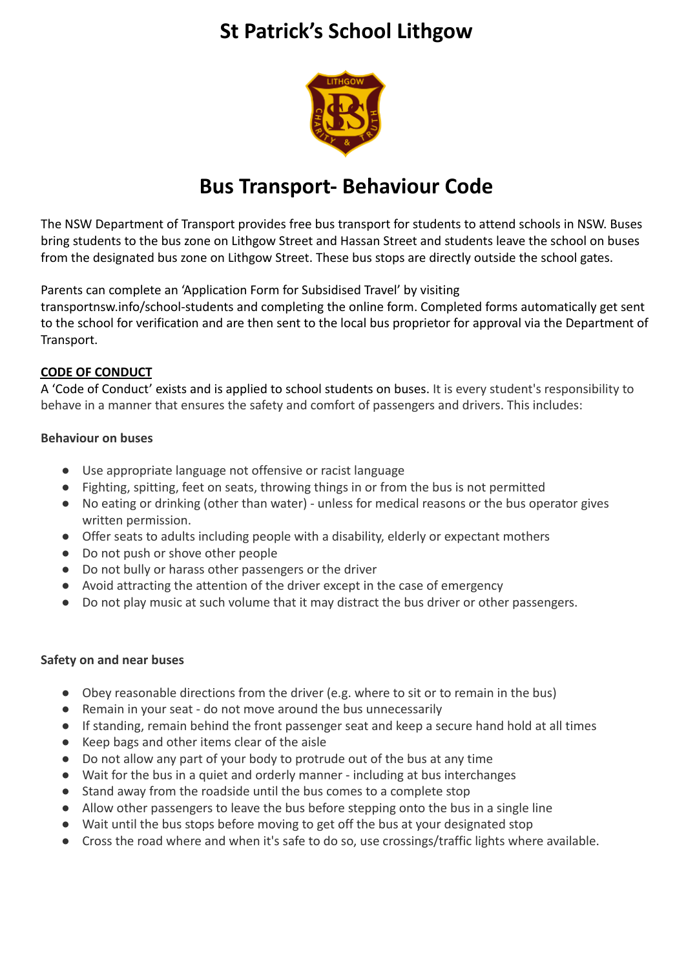# **St Patrick's School Lithgow**



## **Bus Transport- Behaviour Code**

The NSW Department of Transport provides free bus transport for students to attend schools in NSW. Buses bring students to the bus zone on Lithgow Street and Hassan Street and students leave the school on buses from the designated bus zone on Lithgow Street. These bus stops are directly outside the school gates.

Parents can complete an 'Application Form for Subsidised Travel' by visiting

transportnsw.info/school-students and completing the online form. Completed forms automatically get sent to the school for verification and are then sent to the local bus proprietor for approval via the Department of Transport.

#### **CODE OF CONDUCT**

A 'Code of Conduct' exists and is applied to school students on buses. It is every student's responsibility to behave in a manner that ensures the safety and comfort of passengers and drivers. This includes:

#### **Behaviour on buses**

- Use appropriate language not offensive or racist language
- Fighting, spitting, feet on seats, throwing things in or from the bus is not permitted
- No eating or drinking (other than water) unless for medical reasons or the bus operator gives written permission.
- Offer seats to adults including people with a disability, elderly or expectant mothers
- Do not push or shove other people
- Do not bully or harass other passengers or the driver
- Avoid attracting the attention of the driver except in the case of emergency
- Do not play music at such volume that it may distract the bus driver or other passengers.

#### **Safety on and near buses**

- Obey reasonable directions from the driver (e.g. where to sit or to remain in the bus)
- Remain in your seat do not move around the bus unnecessarily
- If standing, remain behind the front passenger seat and keep a secure hand hold at all times
- Keep bags and other items clear of the aisle
- Do not allow any part of your body to protrude out of the bus at any time
- Wait for the bus in a quiet and orderly manner including at bus interchanges
- Stand away from the roadside until the bus comes to a complete stop
- Allow other passengers to leave the bus before stepping onto the bus in a single line
- Wait until the bus stops before moving to get off the bus at your designated stop
- Cross the road where and when it's safe to do so, use crossings/traffic lights where available.